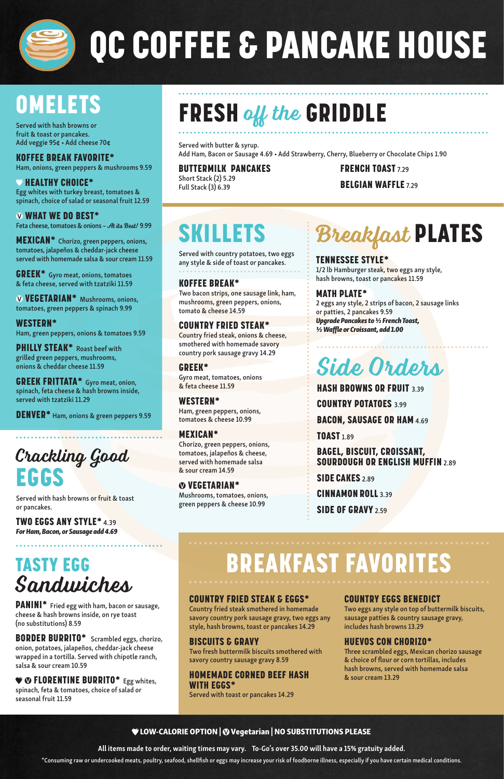

# QC COFFEE & PANCAKE HOUSE

## **OMELETS**

Served with hash browns or fruit & toast or pancakes. Add veggie 95¢ • Add cheese 70¢

#### KOFFEE BREAK FAVORITE\*

Ham, onions, green peppers & mushrooms 9.59

#### $\bullet$  HEALTHY CHOICE\*

Egg whites with turkey breast, tomatoes & spinach, choice of salad or seasonal fruit 12.59

#### WHAT WE DO BEST\*

Feta cheese, tomatoes & onions - At its Best! 9.99

PHILLY STEAK<sup>\*</sup> Roast beef with grilled green peppers, mushrooms, onions & cheddar cheese 11.59

MEXICAN\* Chorizo, green peppers, onions, tomatoes, jalapeños & cheddar-jack cheese served with homemade salsa & sour cream 11.59

GREEK\* Gyro meat, onions, tomatoes & feta cheese, served with tzatziki 11.59

 VEGETARIAN\* Mushrooms, onions, tomatoes, green peppers & spinach 9.99

#### WESTERN\*

Ham, green peppers, onions & tomatoes 9.59

#### $\bullet$  **O FLORENTINE BURRITO\*** Egg whites, spinach, feta & tomatoes, choice of salad or seasonal fruit 11.59

GREEK FRITTATA\* Gyro meat, onion, spinach, feta cheese & hash browns inside, served with tzatziki 11.29

DENVER\* Ham, onions & green peppers 9.59

### Crackling Good EGGS

Served with hash browns or fruit & toast or pancakes.

TWO EGGS ANY STYLE\* 4.39 *For Ham, Bacon, or Sausage add 4.69*

TASTY EGG

## FRESH off the GRIDDLE

### Sandwiches

PANINI\* Fried egg with ham, bacon or sausage, cheese & hash browns inside, on rye toast (no substitutions) 8.59

BORDER BURRITO\* Scrambled eggs, chorizo, onion, potatoes, jalapeños, cheddar-jack cheese wrapped in a tortilla. Served with chipotle ranch, salsa & sour cream 10.59

Served with butter & syrup. Add Ham, Bacon or Sausage 4.69 • Add Strawberry, Cherry, Blueberry or Chocolate Chips 1.90

#### BUTTERMILK PANCAKES Short Stack (2) 5.29 Full Stack (3) 6.39

FRENCH TOAST 7.29 BELGIAN WAFFLE 7.29

#### LOW-CALORIE OPTION | Vegetarian | NO SUBSTITUTIONS PLEASE

All items made to order, waiting times may vary. To-Go's over 35.00 will have a 15% gratuity added.

2 eggs any style, 2 strips of bacon, 2 sausage links or patties, 2 pancakes 9.59 *Upgrade Pancakes to ½ French Toast, ½ Waffle or Croissant, add 1.00*

HASH BROWNS OR FRUIT 3.39 COUNTRY POTATOES 3.99 BACON, SAUSAGE OR HAM 4.69 **TOAST** 1.89 BAGEL, BISCUIT, CROISSANT, SOURDOUGH OR ENGLISH MUFFIN 2.89 SIDE CAKES 2.89

\*Consuming raw or undercooked meats, poultry, seafood, shellfish or eggs may increase your risk of foodborne illness, especially if you have certain medical conditions.

#### COUNTRY FRIED STEAK & EGGS\*

Country fried steak smothered in homemade savory country pork sausage gravy, two eggs any style, hash browns, toast or pancakes 14.29

#### BISCUITS & GRAVY

Two fresh buttermilk biscuits smothered with savory country sausage gravy 8.59

#### HOMEMADE CORNED BEEF HASH WITH EGGS\*

Served with toast or pancakes 14.29

#### COUNTRY EGGS BENEDICT

Two eggs any style on top of buttermilk biscuits, sausage patties & country sausage gravy, includes hash browns 13.29

#### HUEVOS CON CHORIZO\*

Three scrambled eggs, Mexican chorizo sausage & choice of flour or corn tortillas, includes hash browns, served with homemade salsa & sour cream 13.29

## SKILLETS

Served with country potatoes, two eggs any style & side of toast or pancakes.

#### KOFFEE BREAK\*

Two bacon strips, one sausage link, ham, mushrooms, green peppers, onions, tomato & cheese 14.59

#### COUNTRY FRIED STEAK\*

Country fried steak, onions & cheese, smothered with homemade savory country pork sausage gravy 14.29

#### GREEK\*

Gyro meat, tomatoes, onions & feta cheese 11.59

#### WESTERN\*

Ham, green peppers, onions, tomatoes & cheese 10.99

#### MEXICAN\*

Chorizo, green peppers, onions, tomatoes, jalapeños & cheese, served with homemade salsa & sour cream 14.59

#### VEGETARIAN\*

Mushrooms, tomatoes, onions, green peppers & cheese 10.99

## Breakfast PLATES

#### TENNESSEE STYLE\*

1/2 lb Hamburger steak, two eggs any style, hash browns, toast or pancakes 11.59

#### MATH PLATE\*

### Side Orders

CINNAMON ROLL 3.39

SIDE OF GRAVY 2.59

### BREAKFAST FAVORIT